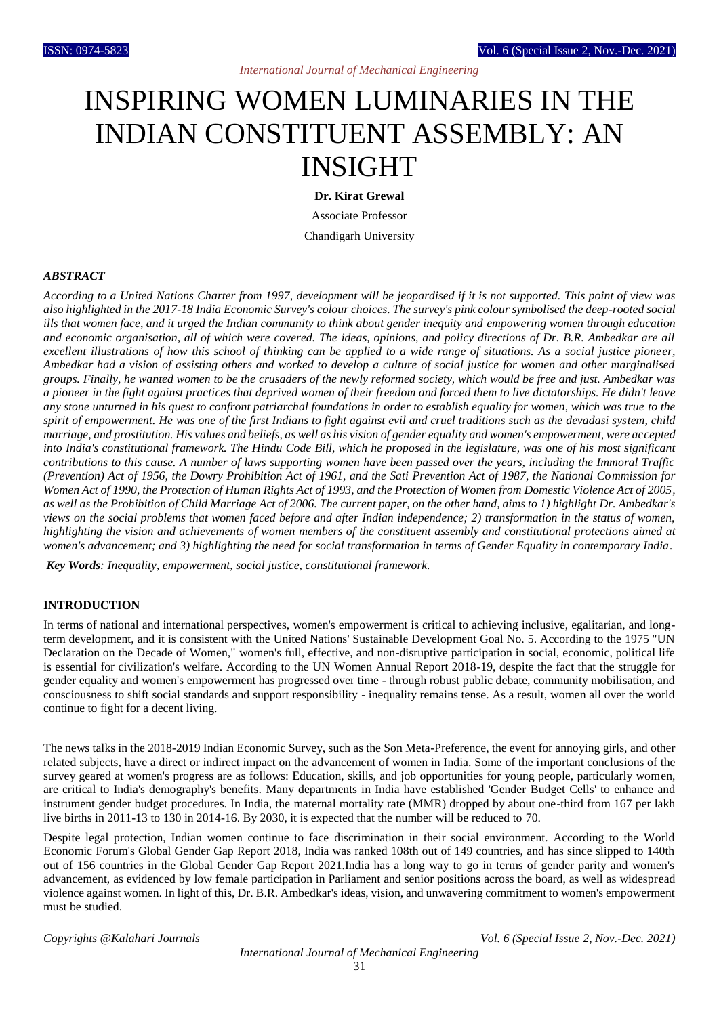# INSPIRING WOMEN LUMINARIES IN THE INDIAN CONSTITUENT ASSEMBLY: AN INSIGHT

**Dr. Kirat Grewal** Associate Professor Chandigarh University

#### *ABSTRACT*

*According to a United Nations Charter from 1997, development will be jeopardised if it is not supported. This point of view was also highlighted in the 2017-18 India Economic Survey's colour choices. The survey's pink colour symbolised the deep-rooted social ills that women face, and it urged the Indian community to think about gender inequity and empowering women through education and economic organisation, all of which were covered. The ideas, opinions, and policy directions of Dr. B.R. Ambedkar are all excellent illustrations of how this school of thinking can be applied to a wide range of situations. As a social justice pioneer, Ambedkar had a vision of assisting others and worked to develop a culture of social justice for women and other marginalised groups. Finally, he wanted women to be the crusaders of the newly reformed society, which would be free and just. Ambedkar was a pioneer in the fight against practices that deprived women of their freedom and forced them to live dictatorships. He didn't leave any stone unturned in his quest to confront patriarchal foundations in order to establish equality for women, which was true to the spirit of empowerment. He was one of the first Indians to fight against evil and cruel traditions such as the devadasi system, child marriage, and prostitution. His values and beliefs, as well as his vision of gender equality and women's empowerment, were accepted into India's constitutional framework. The Hindu Code Bill, which he proposed in the legislature, was one of his most significant contributions to this cause. A number of laws supporting women have been passed over the years, including the Immoral Traffic (Prevention) Act of 1956, the Dowry Prohibition Act of 1961, and the Sati Prevention Act of 1987, the National Commission for Women Act of 1990, the Protection of Human Rights Act of 1993, and the Protection of Women from Domestic Violence Act of 2005, as well as the Prohibition of Child Marriage Act of 2006. The current paper, on the other hand, aims to 1) highlight Dr. Ambedkar's views on the social problems that women faced before and after Indian independence; 2) transformation in the status of women, highlighting the vision and achievements of women members of the constituent assembly and constitutional protections aimed at women's advancement; and 3) highlighting the need for social transformation in terms of Gender Equality in contemporary India.*

*Key Words: Inequality, empowerment, social justice, constitutional framework.*

#### **INTRODUCTION**

In terms of national and international perspectives, women's empowerment is critical to achieving inclusive, egalitarian, and longterm development, and it is consistent with the United Nations' Sustainable Development Goal No. 5. According to the 1975 "UN Declaration on the Decade of Women," women's full, effective, and non-disruptive participation in social, economic, political life is essential for civilization's welfare. According to the UN Women Annual Report 2018-19, despite the fact that the struggle for gender equality and women's empowerment has progressed over time - through robust public debate, community mobilisation, and consciousness to shift social standards and support responsibility - inequality remains tense. As a result, women all over the world continue to fight for a decent living.

The news talks in the 2018-2019 Indian Economic Survey, such as the Son Meta-Preference, the event for annoying girls, and other related subjects, have a direct or indirect impact on the advancement of women in India. Some of the important conclusions of the survey geared at women's progress are as follows: Education, skills, and job opportunities for young people, particularly women, are critical to India's demography's benefits. Many departments in India have established 'Gender Budget Cells' to enhance and instrument gender budget procedures. In India, the maternal mortality rate (MMR) dropped by about one-third from 167 per lakh live births in 2011-13 to 130 in 2014-16. By 2030, it is expected that the number will be reduced to 70.

Despite legal protection, Indian women continue to face discrimination in their social environment. According to the World Economic Forum's Global Gender Gap Report 2018, India was ranked 108th out of 149 countries, and has since slipped to 140th out of 156 countries in the Global Gender Gap Report 2021.India has a long way to go in terms of gender parity and women's advancement, as evidenced by low female participation in Parliament and senior positions across the board, as well as widespread violence against women. In light of this, Dr. B.R. Ambedkar's ideas, vision, and unwavering commitment to women's empowerment must be studied.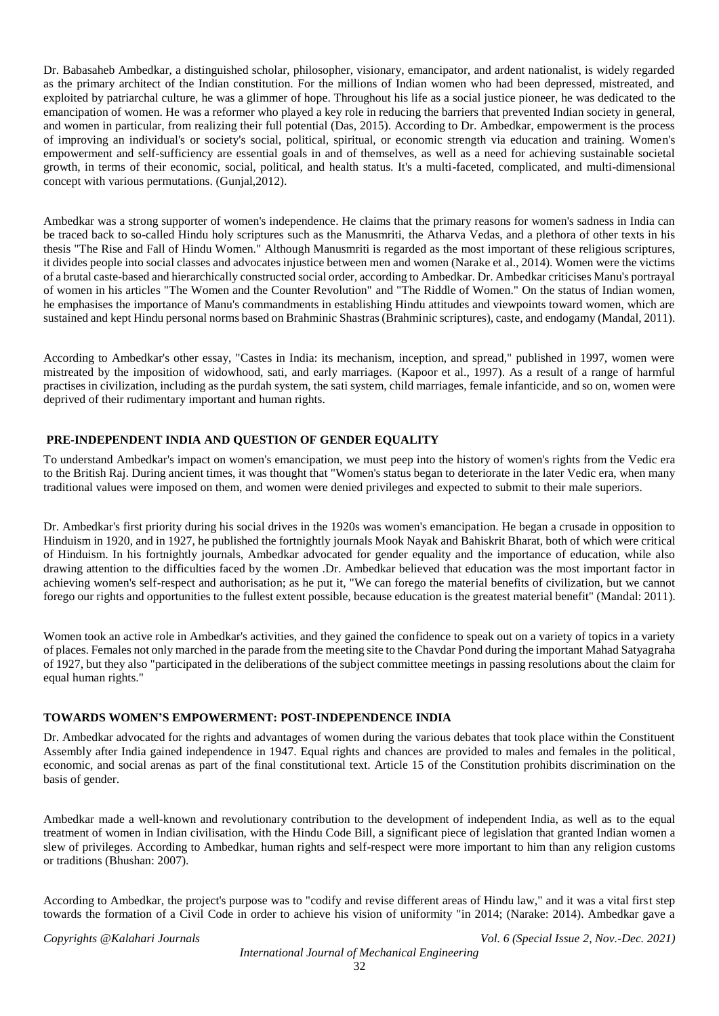Dr. Babasaheb Ambedkar, a distinguished scholar, philosopher, visionary, emancipator, and ardent nationalist, is widely regarded as the primary architect of the Indian constitution. For the millions of Indian women who had been depressed, mistreated, and exploited by patriarchal culture, he was a glimmer of hope. Throughout his life as a social justice pioneer, he was dedicated to the emancipation of women. He was a reformer who played a key role in reducing the barriers that prevented Indian society in general, and women in particular, from realizing their full potential (Das, 2015). According to Dr. Ambedkar, empowerment is the process of improving an individual's or society's social, political, spiritual, or economic strength via education and training. Women's empowerment and self-sufficiency are essential goals in and of themselves, as well as a need for achieving sustainable societal growth, in terms of their economic, social, political, and health status. It's a multi-faceted, complicated, and multi-dimensional concept with various permutations. (Gunjal,2012).

Ambedkar was a strong supporter of women's independence. He claims that the primary reasons for women's sadness in India can be traced back to so-called Hindu holy scriptures such as the Manusmriti, the Atharva Vedas, and a plethora of other texts in his thesis "The Rise and Fall of Hindu Women." Although Manusmriti is regarded as the most important of these religious scriptures, it divides people into social classes and advocates injustice between men and women (Narake et al., 2014). Women were the victims of a brutal caste-based and hierarchically constructed social order, according to Ambedkar. Dr. Ambedkar criticises Manu's portrayal of women in his articles "The Women and the Counter Revolution" and "The Riddle of Women." On the status of Indian women, he emphasises the importance of Manu's commandments in establishing Hindu attitudes and viewpoints toward women, which are sustained and kept Hindu personal norms based on Brahminic Shastras (Brahminic scriptures), caste, and endogamy (Mandal, 2011).

According to Ambedkar's other essay, "Castes in India: its mechanism, inception, and spread," published in 1997, women were mistreated by the imposition of widowhood, sati, and early marriages. (Kapoor et al., 1997). As a result of a range of harmful practises in civilization, including as the purdah system, the sati system, child marriages, female infanticide, and so on, women were deprived of their rudimentary important and human rights.

# **PRE-INDEPENDENT INDIA AND QUESTION OF GENDER EQUALITY**

To understand Ambedkar's impact on women's emancipation, we must peep into the history of women's rights from the Vedic era to the British Raj. During ancient times, it was thought that "Women's status began to deteriorate in the later Vedic era, when many traditional values were imposed on them, and women were denied privileges and expected to submit to their male superiors.

Dr. Ambedkar's first priority during his social drives in the 1920s was women's emancipation. He began a crusade in opposition to Hinduism in 1920, and in 1927, he published the fortnightly journals Mook Nayak and Bahiskrit Bharat, both of which were critical of Hinduism. In his fortnightly journals, Ambedkar advocated for gender equality and the importance of education, while also drawing attention to the difficulties faced by the women .Dr. Ambedkar believed that education was the most important factor in achieving women's self-respect and authorisation; as he put it, "We can forego the material benefits of civilization, but we cannot forego our rights and opportunities to the fullest extent possible, because education is the greatest material benefit" (Mandal: 2011).

Women took an active role in Ambedkar's activities, and they gained the confidence to speak out on a variety of topics in a variety of places. Females not only marched in the parade from the meeting site to the Chavdar Pond during the important Mahad Satyagraha of 1927, but they also "participated in the deliberations of the subject committee meetings in passing resolutions about the claim for equal human rights."

## **TOWARDS WOMEN'S EMPOWERMENT: POST-INDEPENDENCE INDIA**

Dr. Ambedkar advocated for the rights and advantages of women during the various debates that took place within the Constituent Assembly after India gained independence in 1947. Equal rights and chances are provided to males and females in the political, economic, and social arenas as part of the final constitutional text. Article 15 of the Constitution prohibits discrimination on the basis of gender.

Ambedkar made a well-known and revolutionary contribution to the development of independent India, as well as to the equal treatment of women in Indian civilisation, with the Hindu Code Bill, a significant piece of legislation that granted Indian women a slew of privileges. According to Ambedkar, human rights and self-respect were more important to him than any religion customs or traditions (Bhushan: 2007).

According to Ambedkar, the project's purpose was to "codify and revise different areas of Hindu law," and it was a vital first step towards the formation of a Civil Code in order to achieve his vision of uniformity "in 2014; (Narake: 2014). Ambedkar gave a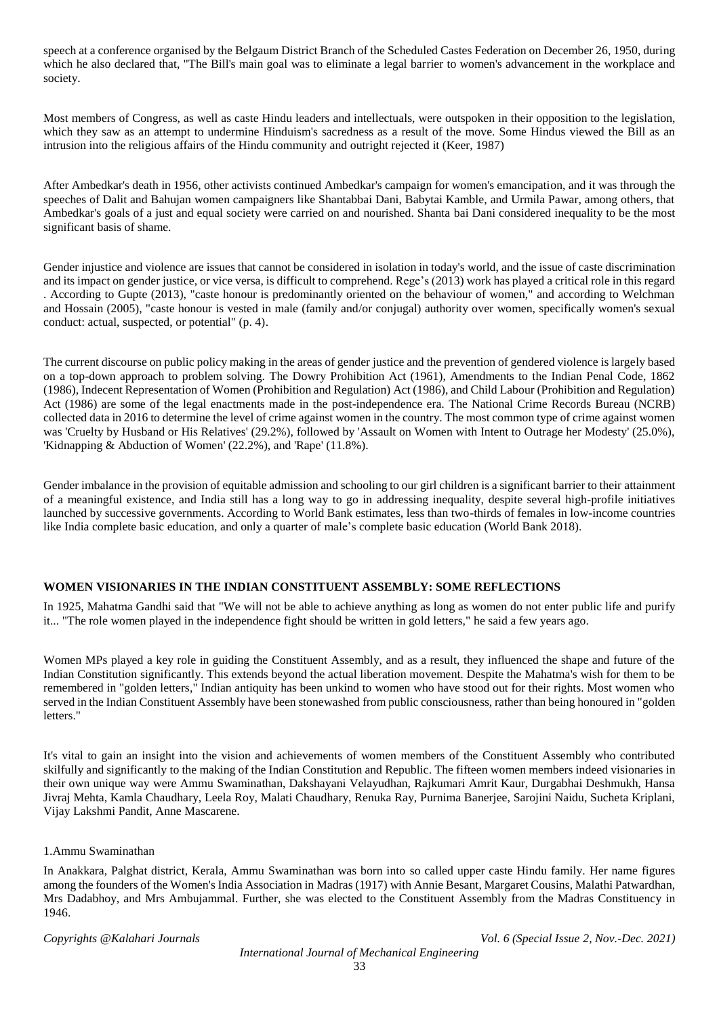speech at a conference organised by the Belgaum District Branch of the Scheduled Castes Federation on December 26, 1950, during which he also declared that, "The Bill's main goal was to eliminate a legal barrier to women's advancement in the workplace and society.

Most members of Congress, as well as caste Hindu leaders and intellectuals, were outspoken in their opposition to the legislation, which they saw as an attempt to undermine Hinduism's sacredness as a result of the move. Some Hindus viewed the Bill as an intrusion into the religious affairs of the Hindu community and outright rejected it (Keer, 1987)

After Ambedkar's death in 1956, other activists continued Ambedkar's campaign for women's emancipation, and it was through the speeches of Dalit and Bahujan women campaigners like Shantabbai Dani, Babytai Kamble, and Urmila Pawar, among others, that Ambedkar's goals of a just and equal society were carried on and nourished. Shanta bai Dani considered inequality to be the most significant basis of shame.

Gender injustice and violence are issues that cannot be considered in isolation in today's world, and the issue of caste discrimination and its impact on gender justice, or vice versa, is difficult to comprehend. Rege's (2013) work has played a critical role in this regard . According to Gupte (2013), "caste honour is predominantly oriented on the behaviour of women," and according to Welchman and Hossain (2005), "caste honour is vested in male (family and/or conjugal) authority over women, specifically women's sexual conduct: actual, suspected, or potential" (p. 4).

The current discourse on public policy making in the areas of gender justice and the prevention of gendered violence is largely based on a top-down approach to problem solving. The Dowry Prohibition Act (1961), Amendments to the Indian Penal Code, 1862 (1986), Indecent Representation of Women (Prohibition and Regulation) Act (1986), and Child Labour (Prohibition and Regulation) Act (1986) are some of the legal enactments made in the post-independence era. The National Crime Records Bureau (NCRB) collected data in 2016 to determine the level of crime against women in the country. The most common type of crime against women was 'Cruelty by Husband or His Relatives' (29.2%), followed by 'Assault on Women with Intent to Outrage her Modesty' (25.0%), 'Kidnapping & Abduction of Women' (22.2%), and 'Rape' (11.8%).

Gender imbalance in the provision of equitable admission and schooling to our girl children is a significant barrier to their attainment of a meaningful existence, and India still has a long way to go in addressing inequality, despite several high-profile initiatives launched by successive governments. According to World Bank estimates, less than two-thirds of females in low-income countries like India complete basic education, and only a quarter of male's complete basic education (World Bank 2018).

## **WOMEN VISIONARIES IN THE INDIAN CONSTITUENT ASSEMBLY: SOME REFLECTIONS**

In 1925, Mahatma Gandhi said that "We will not be able to achieve anything as long as women do not enter public life and purify it... "The role women played in the independence fight should be written in gold letters," he said a few years ago.

Women MPs played a key role in guiding the Constituent Assembly, and as a result, they influenced the shape and future of the Indian Constitution significantly. This extends beyond the actual liberation movement. Despite the Mahatma's wish for them to be remembered in "golden letters," Indian antiquity has been unkind to women who have stood out for their rights. Most women who served in the Indian Constituent Assembly have been stonewashed from public consciousness, rather than being honoured in "golden letters."

It's vital to gain an insight into the vision and achievements of women members of the Constituent Assembly who contributed skilfully and significantly to the making of the Indian Constitution and Republic. The fifteen women members indeed visionaries in their own unique way were Ammu Swaminathan, Dakshayani Velayudhan, Rajkumari Amrit Kaur, Durgabhai Deshmukh, Hansa Jivraj Mehta, Kamla Chaudhary, Leela Roy, Malati Chaudhary, Renuka Ray, Purnima Banerjee, Sarojini Naidu, Sucheta Kriplani, Vijay Lakshmi Pandit, Anne Mascarene.

## 1.Ammu Swaminathan

In Anakkara, Palghat district, Kerala, Ammu Swaminathan was born into so called upper caste Hindu family. Her name figures among the founders of the Women's India Association in Madras (1917) with Annie Besant, Margaret Cousins, Malathi Patwardhan, Mrs Dadabhoy, and Mrs Ambujammal. Further, she was elected to the Constituent Assembly from the Madras Constituency in 1946.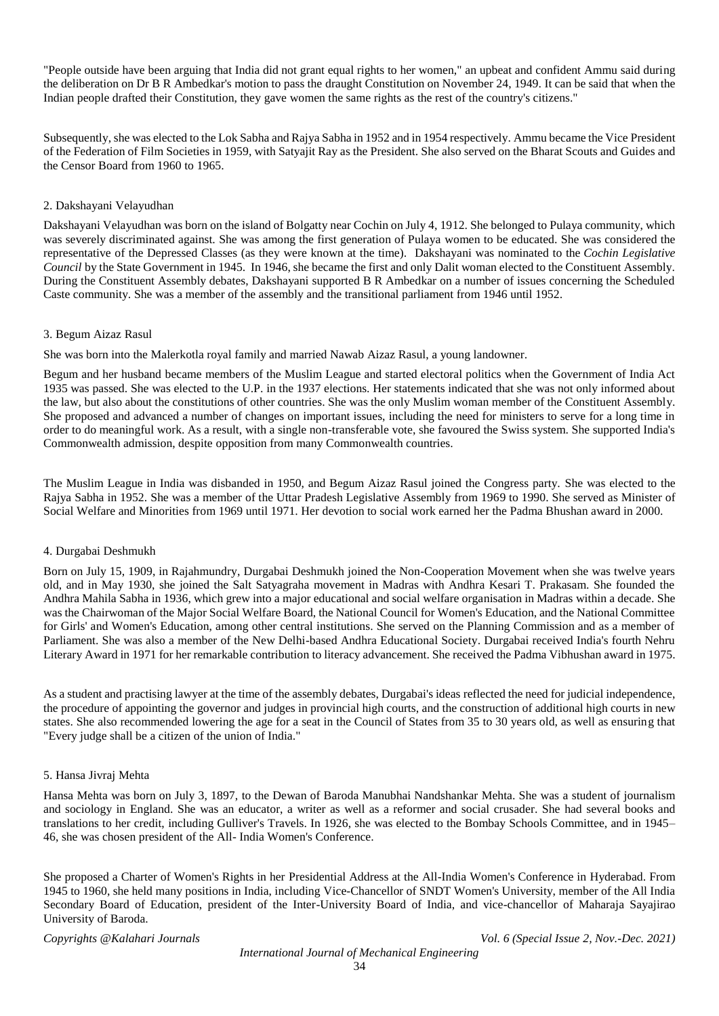"People outside have been arguing that India did not grant equal rights to her women," an upbeat and confident Ammu said during the deliberation on Dr B R Ambedkar's motion to pass the draught Constitution on November 24, 1949. It can be said that when the Indian people drafted their Constitution, they gave women the same rights as the rest of the country's citizens."

Subsequently, she was elected to the Lok Sabha and Rajya Sabha in 1952 and in 1954 respectively. Ammu became the Vice President of the Federation of Film Societies in 1959, with Satyajit Ray as the President. She also served on the Bharat Scouts and Guides and the Censor Board from 1960 to 1965.

# 2. Dakshayani Velayudhan

Dakshayani Velayudhan was born on the island of Bolgatty near Cochin on July 4, 1912. She belonged to Pulaya community, which was severely discriminated against. She was among the first generation of Pulaya women to be educated. She was considered the representative of the Depressed Classes (as they were known at the time). Dakshayani was nominated to the *Cochin Legislative Council* by the State Government in 1945. In 1946, she became the first and only Dalit woman elected to the Constituent Assembly. During the Constituent Assembly debates, Dakshayani supported B R Ambedkar on a number of issues concerning the Scheduled Caste community. She was a member of the assembly and the transitional parliament from 1946 until 1952.

# 3. Begum Aizaz Rasul

She was born into the Malerkotla royal family and married Nawab Aizaz Rasul, a young landowner.

Begum and her husband became members of the Muslim League and started electoral politics when the Government of India Act 1935 was passed. She was elected to the U.P. in the 1937 elections. Her statements indicated that she was not only informed about the law, but also about the constitutions of other countries. She was the only Muslim woman member of the Constituent Assembly. She proposed and advanced a number of changes on important issues, including the need for ministers to serve for a long time in order to do meaningful work. As a result, with a single non-transferable vote, she favoured the Swiss system. She supported India's Commonwealth admission, despite opposition from many Commonwealth countries.

The Muslim League in India was disbanded in 1950, and Begum Aizaz Rasul joined the Congress party. She was elected to the Rajya Sabha in 1952. She was a member of the Uttar Pradesh Legislative Assembly from 1969 to 1990. She served as Minister of Social Welfare and Minorities from 1969 until 1971. Her devotion to social work earned her the Padma Bhushan award in 2000.

## 4. Durgabai Deshmukh

Born on July 15, 1909, in Rajahmundry, Durgabai Deshmukh joined the Non-Cooperation Movement when she was twelve years old, and in May 1930, she joined the Salt Satyagraha movement in Madras with Andhra Kesari T. Prakasam. She founded the Andhra Mahila Sabha in 1936, which grew into a major educational and social welfare organisation in Madras within a decade. She was the Chairwoman of the Major Social Welfare Board, the National Council for Women's Education, and the National Committee for Girls' and Women's Education, among other central institutions. She served on the Planning Commission and as a member of Parliament. She was also a member of the New Delhi-based Andhra Educational Society. Durgabai received India's fourth Nehru Literary Award in 1971 for her remarkable contribution to literacy advancement. She received the Padma Vibhushan award in 1975.

As a student and practising lawyer at the time of the assembly debates, Durgabai's ideas reflected the need for judicial independence, the procedure of appointing the governor and judges in provincial high courts, and the construction of additional high courts in new states. She also recommended lowering the age for a seat in the Council of States from 35 to 30 years old, as well as ensuring that "Every judge shall be a citizen of the union of India."

## 5. Hansa Jivraj Mehta

Hansa Mehta was born on July 3, 1897, to the Dewan of Baroda Manubhai Nandshankar Mehta. She was a student of journalism and sociology in England. She was an educator, a writer as well as a reformer and social crusader. She had several books and translations to her credit, including Gulliver's Travels. In 1926, she was elected to the Bombay Schools Committee, and in 1945– 46, she was chosen president of the All- India Women's Conference.

She proposed a Charter of Women's Rights in her Presidential Address at the All-India Women's Conference in Hyderabad. From 1945 to 1960, she held many positions in India, including Vice-Chancellor of SNDT Women's University, member of the All India Secondary Board of Education, president of the Inter-University Board of India, and vice-chancellor of Maharaja Sayajirao University of Baroda.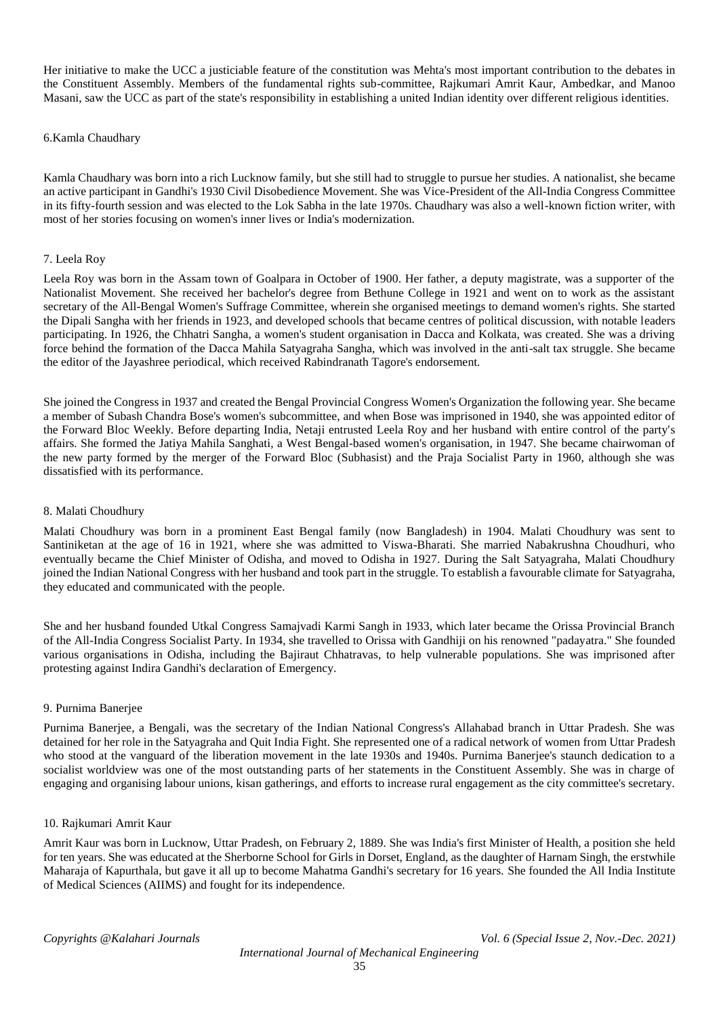Her initiative to make the UCC a justiciable feature of the constitution was Mehta's most important contribution to the debates in the Constituent Assembly. Members of the fundamental rights sub-committee, Rajkumari Amrit Kaur, Ambedkar, and Manoo Masani, saw the UCC as part of the state's responsibility in establishing a united Indian identity over different religious identities.

#### 6.Kamla Chaudhary

Kamla Chaudhary was born into a rich Lucknow family, but she still had to struggle to pursue her studies. A nationalist, she became an active participant in Gandhi's 1930 Civil Disobedience Movement. She was Vice-President of the All-India Congress Committee in its fifty-fourth session and was elected to the Lok Sabha in the late 1970s. Chaudhary was also a well-known fiction writer, with most of her stories focusing on women's inner lives or India's modernization.

#### 7. Leela Roy

Leela Roy was born in the Assam town of Goalpara in October of 1900. Her father, a deputy magistrate, was a supporter of the Nationalist Movement. She received her bachelor's degree from Bethune College in 1921 and went on to work as the assistant secretary of the All-Bengal Women's Suffrage Committee, wherein she organised meetings to demand women's rights. She started the Dipali Sangha with her friends in 1923, and developed schools that became centres of political discussion, with notable leaders participating. In 1926, the Chhatri Sangha, a women's student organisation in Dacca and Kolkata, was created. She was a driving force behind the formation of the Dacca Mahila Satyagraha Sangha, which was involved in the anti-salt tax struggle. She became the editor of the Jayashree periodical, which received Rabindranath Tagore's endorsement.

She joined the Congress in 1937 and created the Bengal Provincial Congress Women's Organization the following year. She became a member of Subash Chandra Bose's women's subcommittee, and when Bose was imprisoned in 1940, she was appointed editor of the Forward Bloc Weekly. Before departing India, Netaji entrusted Leela Roy and her husband with entire control of the party's affairs. She formed the Jatiya Mahila Sanghati, a West Bengal-based women's organisation, in 1947. She became chairwoman of the new party formed by the merger of the Forward Bloc (Subhasist) and the Praja Socialist Party in 1960, although she was dissatisfied with its performance.

#### 8. Malati Choudhury

Malati Choudhury was born in a prominent East Bengal family (now Bangladesh) in 1904. Malati Choudhury was sent to Santiniketan at the age of 16 in 1921, where she was admitted to Viswa-Bharati. She married Nabakrushna Choudhuri, who eventually became the Chief Minister of Odisha, and moved to Odisha in 1927. During the Salt Satyagraha, Malati Choudhury joined the Indian National Congress with her husband and took part in the struggle. To establish a favourable climate for Satyagraha, they educated and communicated with the people.

She and her husband founded Utkal Congress Samajvadi Karmi Sangh in 1933, which later became the Orissa Provincial Branch of the All-India Congress Socialist Party. In 1934, she travelled to Orissa with Gandhiji on his renowned "padayatra." She founded various organisations in Odisha, including the Bajiraut Chhatravas, to help vulnerable populations. She was imprisoned after protesting against Indira Gandhi's declaration of Emergency.

#### 9. Purnima Banerjee

Purnima Banerjee, a Bengali, was the secretary of the Indian National Congress's Allahabad branch in Uttar Pradesh. She was detained for her role in the Satyagraha and Quit India Fight. She represented one of a radical network of women from Uttar Pradesh who stood at the vanguard of the liberation movement in the late 1930s and 1940s. Purnima Banerjee's staunch dedication to a socialist worldview was one of the most outstanding parts of her statements in the Constituent Assembly. She was in charge of engaging and organising labour unions, kisan gatherings, and efforts to increase rural engagement as the city committee's secretary.

#### 10. Rajkumari Amrit Kaur

Amrit Kaur was born in Lucknow, Uttar Pradesh, on February 2, 1889. She was India's first Minister of Health, a position she held for ten years. She was educated at the Sherborne School for Girls in Dorset, England, as the daughter of Harnam Singh, the erstwhile Maharaja of Kapurthala, but gave it all up to become Mahatma Gandhi's secretary for 16 years. She founded the All India Institute of Medical Sciences (AIIMS) and fought for its independence.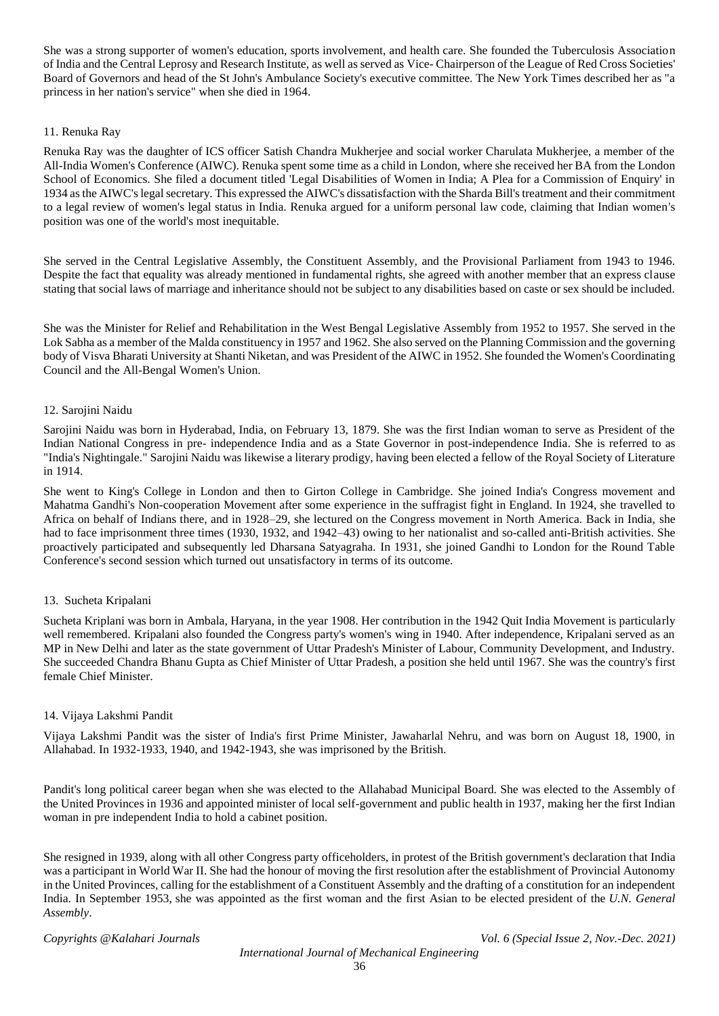She was a strong supporter of women's education, sports involvement, and health care. She founded the Tuberculosis Association of India and the Central Leprosy and Research Institute, as well as served as Vice- Chairperson of the League of Red Cross Societies' Board of Governors and head of the St John's Ambulance Society's executive committee. The New York Times described her as "a princess in her nation's service" when she died in 1964.

# 11. Renuka Ray

Renuka Ray was the daughter of ICS officer Satish Chandra Mukherjee and social worker Charulata Mukherjee, a member of the All-India Women's Conference (AIWC). Renuka spent some time as a child in London, where she received her BA from the London School of Economics. She filed a document titled 'Legal Disabilities of Women in India; A Plea for a Commission of Enquiry' in 1934 as the AIWC's legal secretary. This expressed the AIWC's dissatisfaction with the Sharda Bill's treatment and their commitment to a legal review of women's legal status in India. Renuka argued for a uniform personal law code, claiming that Indian women's position was one of the world's most inequitable.

She served in the Central Legislative Assembly, the Constituent Assembly, and the Provisional Parliament from 1943 to 1946. Despite the fact that equality was already mentioned in fundamental rights, she agreed with another member that an express clause stating that social laws of marriage and inheritance should not be subject to any disabilities based on caste or sex should be included.

She was the Minister for Relief and Rehabilitation in the West Bengal Legislative Assembly from 1952 to 1957. She served in the Lok Sabha as a member of the Malda constituency in 1957 and 1962. She also served on the Planning Commission and the governing body of Visva Bharati University at Shanti Niketan, and was President of the AIWC in 1952. She founded the Women's Coordinating Council and the All-Bengal Women's Union.

## 12. Sarojini Naidu

Sarojini Naidu was born in Hyderabad, India, on February 13, 1879. She was the first Indian woman to serve as President of the Indian National Congress in pre- independence India and as a State Governor in post-independence India. She is referred to as "India's Nightingale." Sarojini Naidu was likewise a literary prodigy, having been elected a fellow of the Royal Society of Literature in 1914.

She went to King's College in London and then to Girton College in Cambridge. She joined India's Congress movement and Mahatma Gandhi's Non-cooperation Movement after some experience in the suffragist fight in England. In 1924, she travelled to Africa on behalf of Indians there, and in 1928–29, she lectured on the Congress movement in North America. Back in India, she had to face imprisonment three times (1930, 1932, and 1942–43) owing to her nationalist and so-called anti-British activities. She proactively participated and subsequently led Dharsana Satyagraha. In 1931, she joined Gandhi to London for the Round Table Conference's second session which turned out unsatisfactory in terms of its outcome.

# 13. Sucheta Kripalani

Sucheta Kriplani was born in Ambala, Haryana, in the year 1908. Her contribution in the 1942 Quit India Movement is particularly well remembered. Kripalani also founded the Congress party's women's wing in 1940. After independence, Kripalani served as an MP in New Delhi and later as the state government of Uttar Pradesh's Minister of Labour, Community Development, and Industry. She succeeded Chandra Bhanu Gupta as Chief Minister of Uttar Pradesh, a position she held until 1967. She was the country's first female Chief Minister.

## 14. Vijaya Lakshmi Pandit

Vijaya Lakshmi Pandit was the sister of India's first Prime Minister, Jawaharlal Nehru, and was born on August 18, 1900, in Allahabad. In 1932-1933, 1940, and 1942-1943, she was imprisoned by the British.

Pandit's long political career began when she was elected to the Allahabad Municipal Board. She was elected to the Assembly of the United Provinces in 1936 and appointed minister of local self-government and public health in 1937, making her the first Indian woman in pre independent India to hold a cabinet position.

She resigned in 1939, along with all other Congress party officeholders, in protest of the British government's declaration that India was a participant in World War II. She had the honour of moving the first resolution after the establishment of Provincial Autonomy in the United Provinces, calling for the establishment of a Constituent Assembly and the drafting of a constitution for an independent India. In September 1953, she was appointed as the first woman and the first Asian to be elected president of the *U.N. General Assembly*.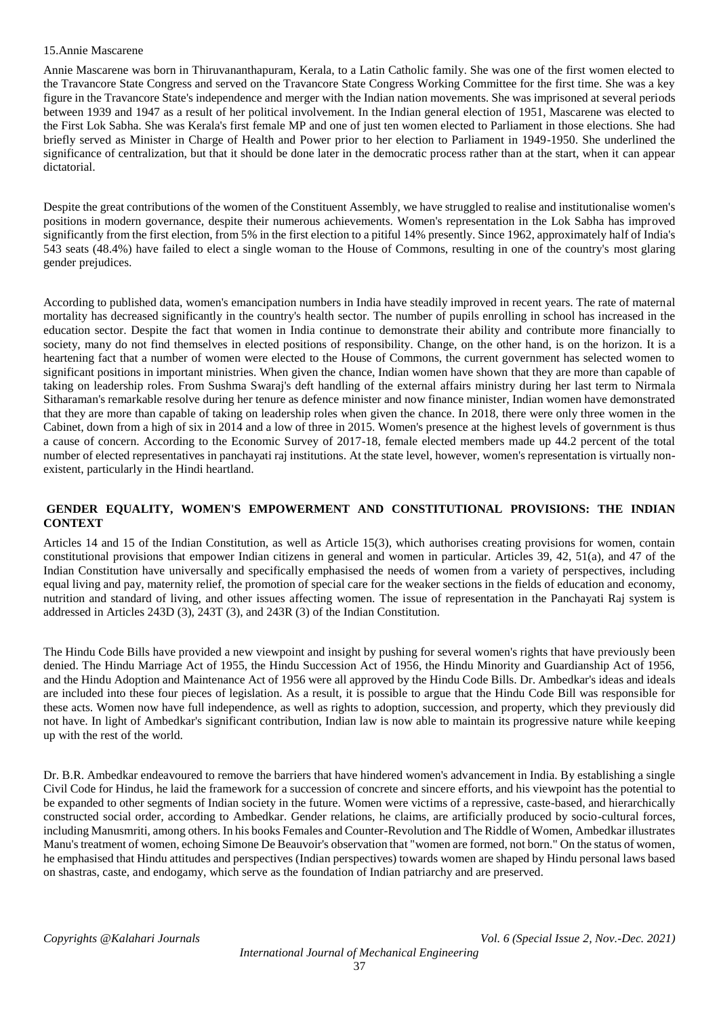#### 15.Annie Mascarene

Annie Mascarene was born in Thiruvananthapuram, Kerala, to a Latin Catholic family. She was one of the first women elected to the Travancore State Congress and served on the Travancore State Congress Working Committee for the first time. She was a key figure in the Travancore State's independence and merger with the Indian nation movements. She was imprisoned at several periods between 1939 and 1947 as a result of her political involvement. In the Indian general election of 1951, Mascarene was elected to the First Lok Sabha. She was Kerala's first female MP and one of just ten women elected to Parliament in those elections. She had briefly served as Minister in Charge of Health and Power prior to her election to Parliament in 1949-1950. She underlined the significance of centralization, but that it should be done later in the democratic process rather than at the start, when it can appear dictatorial.

Despite the great contributions of the women of the Constituent Assembly, we have struggled to realise and institutionalise women's positions in modern governance, despite their numerous achievements. Women's representation in the Lok Sabha has improved significantly from the first election, from 5% in the first election to a pitiful 14% presently. Since 1962, approximately half of India's 543 seats (48.4%) have failed to elect a single woman to the House of Commons, resulting in one of the country's most glaring gender prejudices.

According to published data, women's emancipation numbers in India have steadily improved in recent years. The rate of maternal mortality has decreased significantly in the country's health sector. The number of pupils enrolling in school has increased in the education sector. Despite the fact that women in India continue to demonstrate their ability and contribute more financially to society, many do not find themselves in elected positions of responsibility. Change, on the other hand, is on the horizon. It is a heartening fact that a number of women were elected to the House of Commons, the current government has selected women to significant positions in important ministries. When given the chance, Indian women have shown that they are more than capable of taking on leadership roles. From Sushma Swaraj's deft handling of the external affairs ministry during her last term to Nirmala Sitharaman's remarkable resolve during her tenure as defence minister and now finance minister, Indian women have demonstrated that they are more than capable of taking on leadership roles when given the chance. In 2018, there were only three women in the Cabinet, down from a high of six in 2014 and a low of three in 2015. Women's presence at the highest levels of government is thus a cause of concern. According to the Economic Survey of 2017-18, female elected members made up 44.2 percent of the total number of elected representatives in panchayati raj institutions. At the state level, however, women's representation is virtually nonexistent, particularly in the Hindi heartland.

# **GENDER EQUALITY, WOMEN'S EMPOWERMENT AND CONSTITUTIONAL PROVISIONS: THE INDIAN CONTEXT**

Articles 14 and 15 of the Indian Constitution, as well as Article 15(3), which authorises creating provisions for women, contain constitutional provisions that empower Indian citizens in general and women in particular. Articles 39, 42, 51(a), and 47 of the Indian Constitution have universally and specifically emphasised the needs of women from a variety of perspectives, including equal living and pay, maternity relief, the promotion of special care for the weaker sections in the fields of education and economy, nutrition and standard of living, and other issues affecting women. The issue of representation in the Panchayati Raj system is addressed in Articles 243D (3), 243T (3), and 243R (3) of the Indian Constitution.

The Hindu Code Bills have provided a new viewpoint and insight by pushing for several women's rights that have previously been denied. The Hindu Marriage Act of 1955, the Hindu Succession Act of 1956, the Hindu Minority and Guardianship Act of 1956, and the Hindu Adoption and Maintenance Act of 1956 were all approved by the Hindu Code Bills. Dr. Ambedkar's ideas and ideals are included into these four pieces of legislation. As a result, it is possible to argue that the Hindu Code Bill was responsible for these acts. Women now have full independence, as well as rights to adoption, succession, and property, which they previously did not have. In light of Ambedkar's significant contribution, Indian law is now able to maintain its progressive nature while keeping up with the rest of the world.

Dr. B.R. Ambedkar endeavoured to remove the barriers that have hindered women's advancement in India. By establishing a single Civil Code for Hindus, he laid the framework for a succession of concrete and sincere efforts, and his viewpoint has the potential to be expanded to other segments of Indian society in the future. Women were victims of a repressive, caste-based, and hierarchically constructed social order, according to Ambedkar. Gender relations, he claims, are artificially produced by socio-cultural forces, including Manusmriti, among others. In his books Females and Counter-Revolution and The Riddle of Women, Ambedkar illustrates Manu's treatment of women, echoing Simone De Beauvoir's observation that "women are formed, not born." On the status of women, he emphasised that Hindu attitudes and perspectives (Indian perspectives) towards women are shaped by Hindu personal laws based on shastras, caste, and endogamy, which serve as the foundation of Indian patriarchy and are preserved.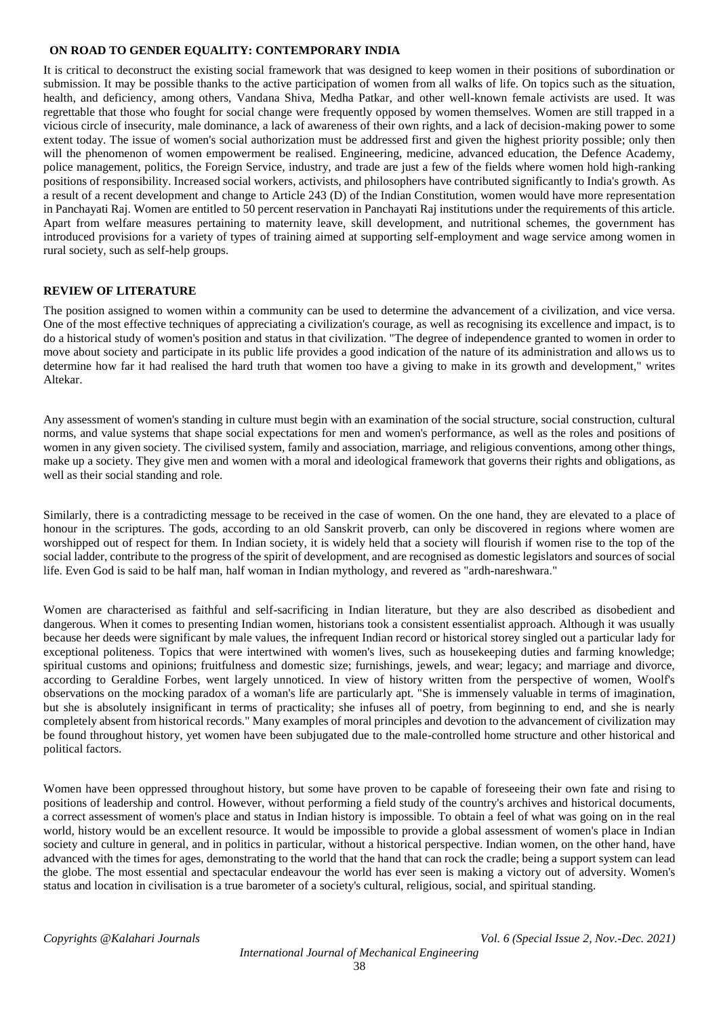#### **ON ROAD TO GENDER EQUALITY: CONTEMPORARY INDIA**

It is critical to deconstruct the existing social framework that was designed to keep women in their positions of subordination or submission. It may be possible thanks to the active participation of women from all walks of life. On topics such as the situation, health, and deficiency, among others, Vandana Shiva, Medha Patkar, and other well-known female activists are used. It was regrettable that those who fought for social change were frequently opposed by women themselves. Women are still trapped in a vicious circle of insecurity, male dominance, a lack of awareness of their own rights, and a lack of decision-making power to some extent today. The issue of women's social authorization must be addressed first and given the highest priority possible; only then will the phenomenon of women empowerment be realised. Engineering, medicine, advanced education, the Defence Academy, police management, politics, the Foreign Service, industry, and trade are just a few of the fields where women hold high-ranking positions of responsibility. Increased social workers, activists, and philosophers have contributed significantly to India's growth. As a result of a recent development and change to Article 243 (D) of the Indian Constitution, women would have more representation in Panchayati Raj. Women are entitled to 50 percent reservation in Panchayati Raj institutions under the requirements of this article. Apart from welfare measures pertaining to maternity leave, skill development, and nutritional schemes, the government has introduced provisions for a variety of types of training aimed at supporting self-employment and wage service among women in rural society, such as self-help groups.

#### **REVIEW OF LITERATURE**

The position assigned to women within a community can be used to determine the advancement of a civilization, and vice versa. One of the most effective techniques of appreciating a civilization's courage, as well as recognising its excellence and impact, is to do a historical study of women's position and status in that civilization. "The degree of independence granted to women in order to move about society and participate in its public life provides a good indication of the nature of its administration and allows us to determine how far it had realised the hard truth that women too have a giving to make in its growth and development," writes Altekar.

Any assessment of women's standing in culture must begin with an examination of the social structure, social construction, cultural norms, and value systems that shape social expectations for men and women's performance, as well as the roles and positions of women in any given society. The civilised system, family and association, marriage, and religious conventions, among other things, make up a society. They give men and women with a moral and ideological framework that governs their rights and obligations, as well as their social standing and role.

Similarly, there is a contradicting message to be received in the case of women. On the one hand, they are elevated to a place of honour in the scriptures. The gods, according to an old Sanskrit proverb, can only be discovered in regions where women are worshipped out of respect for them. In Indian society, it is widely held that a society will flourish if women rise to the top of the social ladder, contribute to the progress of the spirit of development, and are recognised as domestic legislators and sources of social life. Even God is said to be half man, half woman in Indian mythology, and revered as "ardh-nareshwara."

Women are characterised as faithful and self-sacrificing in Indian literature, but they are also described as disobedient and dangerous. When it comes to presenting Indian women, historians took a consistent essentialist approach. Although it was usually because her deeds were significant by male values, the infrequent Indian record or historical storey singled out a particular lady for exceptional politeness. Topics that were intertwined with women's lives, such as housekeeping duties and farming knowledge; spiritual customs and opinions; fruitfulness and domestic size; furnishings, jewels, and wear; legacy; and marriage and divorce, according to Geraldine Forbes, went largely unnoticed. In view of history written from the perspective of women, Woolf's observations on the mocking paradox of a woman's life are particularly apt. "She is immensely valuable in terms of imagination, but she is absolutely insignificant in terms of practicality; she infuses all of poetry, from beginning to end, and she is nearly completely absent from historical records." Many examples of moral principles and devotion to the advancement of civilization may be found throughout history, yet women have been subjugated due to the male-controlled home structure and other historical and political factors.

Women have been oppressed throughout history, but some have proven to be capable of foreseeing their own fate and rising to positions of leadership and control. However, without performing a field study of the country's archives and historical documents, a correct assessment of women's place and status in Indian history is impossible. To obtain a feel of what was going on in the real world, history would be an excellent resource. It would be impossible to provide a global assessment of women's place in Indian society and culture in general, and in politics in particular, without a historical perspective. Indian women, on the other hand, have advanced with the times for ages, demonstrating to the world that the hand that can rock the cradle; being a support system can lead the globe. The most essential and spectacular endeavour the world has ever seen is making a victory out of adversity. Women's status and location in civilisation is a true barometer of a society's cultural, religious, social, and spiritual standing.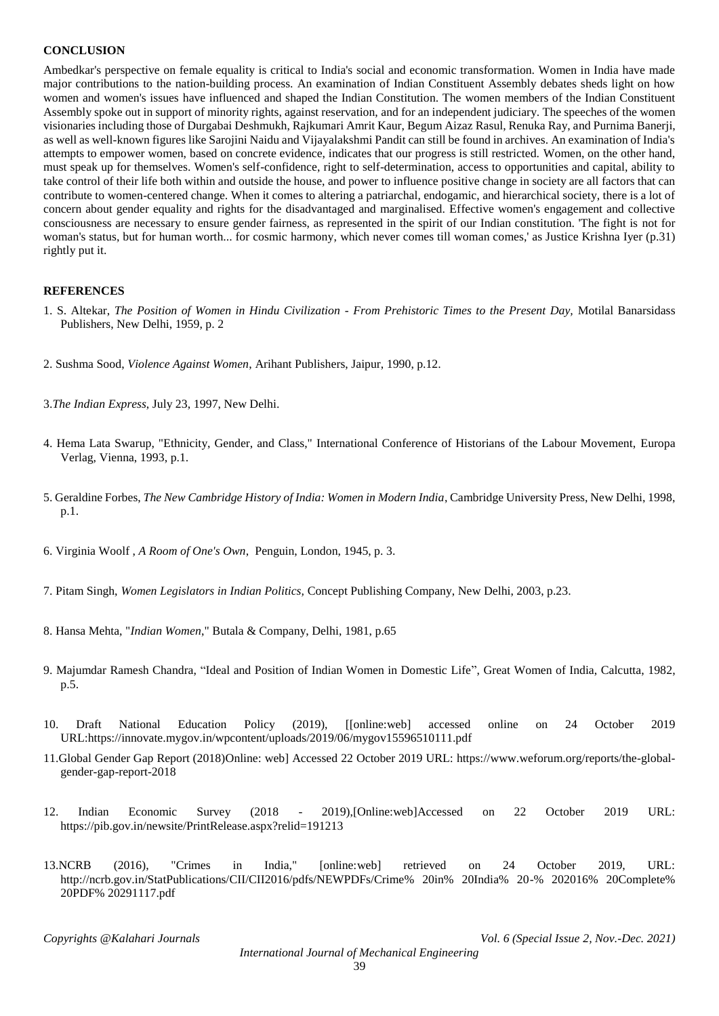#### **CONCLUSION**

Ambedkar's perspective on female equality is critical to India's social and economic transformation. Women in India have made major contributions to the nation-building process. An examination of Indian Constituent Assembly debates sheds light on how women and women's issues have influenced and shaped the Indian Constitution. The women members of the Indian Constituent Assembly spoke out in support of minority rights, against reservation, and for an independent judiciary. The speeches of the women visionaries including those of Durgabai Deshmukh, Rajkumari Amrit Kaur, Begum Aizaz Rasul, Renuka Ray, and Purnima Banerji, as well as well-known figures like Sarojini Naidu and Vijayalakshmi Pandit can still be found in archives. An examination of India's attempts to empower women, based on concrete evidence, indicates that our progress is still restricted. Women, on the other hand, must speak up for themselves. Women's self-confidence, right to self-determination, access to opportunities and capital, ability to take control of their life both within and outside the house, and power to influence positive change in society are all factors that can contribute to women-centered change. When it comes to altering a patriarchal, endogamic, and hierarchical society, there is a lot of concern about gender equality and rights for the disadvantaged and marginalised. Effective women's engagement and collective consciousness are necessary to ensure gender fairness, as represented in the spirit of our Indian constitution. 'The fight is not for woman's status, but for human worth... for cosmic harmony, which never comes till woman comes,' as Justice Krishna Iyer (p.31) rightly put it.

#### **REFERENCES**

- 1. S. Altekar, *The Position of Women in Hindu Civilization - From Prehistoric Times to the Present Day,* Motilal Banarsidass Publishers, New Delhi, 1959, p. 2
- 2. Sushma Sood, *Violence Against Women*, Arihant Publishers, Jaipur, 1990, p.12.
- 3.*The Indian Express*, July 23, 1997, New Delhi.
- 4. Hema Lata Swarup, "Ethnicity, Gender, and Class," International Conference of Historians of the Labour Movement, Europa Verlag, Vienna, 1993, p.1.
- 5. Geraldine Forbes, *The New Cambridge History of India: Women in Modern India*, Cambridge University Press, New Delhi, 1998, p.1.
- 6. Virginia Woolf , *A Room of One's Own*, Penguin, London, 1945, p. 3.
- 7. Pitam Singh, *Women Legislators in Indian Politics,* Concept Publishing Company, New Delhi, 2003, p.23.
- 8. Hansa Mehta, "*Indian Women*," Butala & Company, Delhi, 1981, p.65
- 9. Majumdar Ramesh Chandra, "Ideal and Position of Indian Women in Domestic Life", Great Women of India, Calcutta, 1982, p.5.
- 10. Draft National Education Policy (2019), [[online:web] accessed online on 24 October 2019 URL:https://innovate.mygov.in/wpcontent/uploads/2019/06/mygov15596510111.pdf
- 11.Global Gender Gap Report (2018)Online: web] Accessed 22 October 2019 URL: https://www.weforum.org/reports/the-globalgender-gap-report-2018
- 12. Indian Economic Survey (2018 2019),[Online:web]Accessed on 22 October 2019 URL: https://pib.gov.in/newsite/PrintRelease.aspx?relid=191213
- 13.NCRB (2016), "Crimes in India," [online:web] retrieved on 24 October 2019, URL: http://ncrb.gov.in/StatPublications/CII/CII2016/pdfs/NEWPDFs/Crime% 20in% 20India% 20-% 202016% 20Complete% 20PDF% 20291117.pdf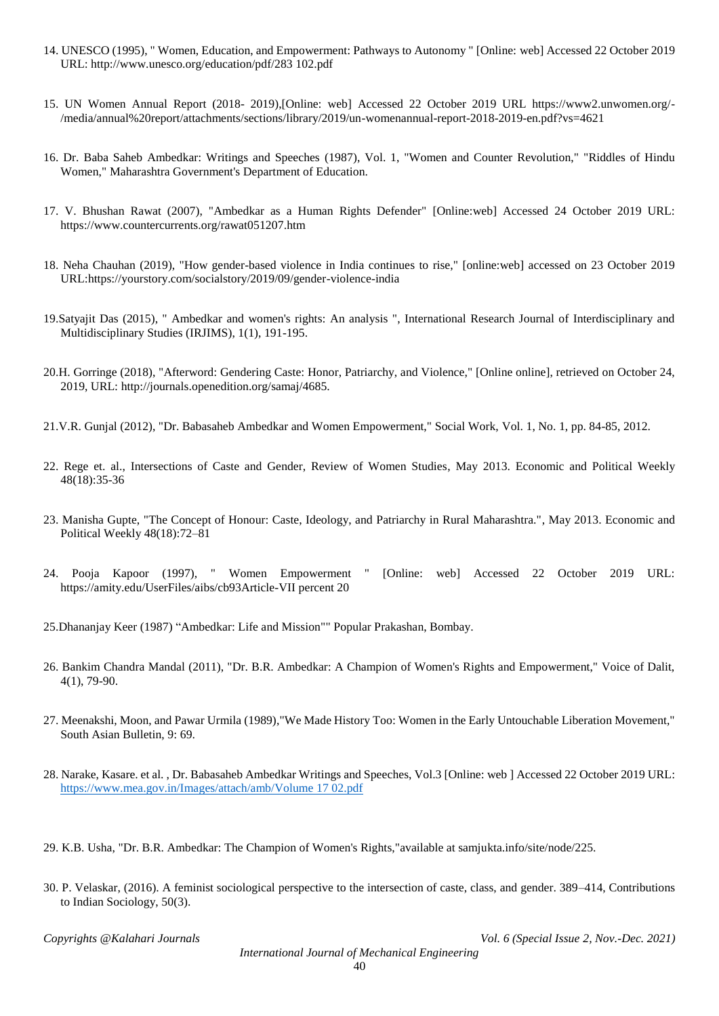- 14. UNESCO (1995), " Women, Education, and Empowerment: Pathways to Autonomy " [Online: web] Accessed 22 October 2019 URL: http://www.unesco.org/education/pdf/283 102.pdf
- 15. UN Women Annual Report (2018- 2019),[Online: web] Accessed 22 October 2019 URL https://www2.unwomen.org/- /media/annual%20report/attachments/sections/library/2019/un-womenannual-report-2018-2019-en.pdf?vs=4621
- 16. Dr. Baba Saheb Ambedkar: Writings and Speeches (1987), Vol. 1, "Women and Counter Revolution," "Riddles of Hindu Women," Maharashtra Government's Department of Education.
- 17. V. Bhushan Rawat (2007), "Ambedkar as a Human Rights Defender" [Online:web] Accessed 24 October 2019 URL: https://www.countercurrents.org/rawat051207.htm
- 18. Neha Chauhan (2019), "How gender-based violence in India continues to rise," [online:web] accessed on 23 October 2019 URL:https://yourstory.com/socialstory/2019/09/gender-violence-india
- 19.Satyajit Das (2015), " Ambedkar and women's rights: An analysis ", International Research Journal of Interdisciplinary and Multidisciplinary Studies (IRJIMS), 1(1), 191-195.
- 20.H. Gorringe (2018), "Afterword: Gendering Caste: Honor, Patriarchy, and Violence," [Online online], retrieved on October 24, 2019, URL: http://journals.openedition.org/samaj/4685.
- 21.V.R. Gunjal (2012), "Dr. Babasaheb Ambedkar and Women Empowerment," Social Work, Vol. 1, No. 1, pp. 84-85, 2012.
- 22. Rege et. al., Intersections of Caste and Gender, Review of Women Studies, May 2013. Economic and Political Weekly 48(18):35-36
- 23. Manisha Gupte, "The Concept of Honour: Caste, Ideology, and Patriarchy in Rural Maharashtra.", May 2013. Economic and Political Weekly 48(18):72–81
- 24. Pooja Kapoor (1997), " Women Empowerment " [Online: web] Accessed 22 October 2019 URL: https://amity.edu/UserFiles/aibs/cb93Article-VII percent 20
- 25.Dhananjay Keer (1987) "Ambedkar: Life and Mission"" Popular Prakashan, Bombay.
- 26. Bankim Chandra Mandal (2011), "Dr. B.R. Ambedkar: A Champion of Women's Rights and Empowerment," Voice of Dalit, 4(1), 79-90.
- 27. Meenakshi, Moon, and Pawar Urmila (1989),"We Made History Too: Women in the Early Untouchable Liberation Movement," South Asian Bulletin, 9: 69.
- 28. Narake, Kasare. et al. , Dr. Babasaheb Ambedkar Writings and Speeches, Vol.3 [Online: web ] Accessed 22 October 2019 URL: [https://www.mea.gov.in/Images/attach/amb/Volume 17 02.pdf](https://www.mea.gov.in/Images/attach/amb/Volume%2017%2002.pdf)
- 29. K.B. Usha, "Dr. B.R. Ambedkar: The Champion of Women's Rights,"available at samjukta.info/site/node/225.
- 30. P. Velaskar, (2016). A feminist sociological perspective to the intersection of caste, class, and gender. 389–414, Contributions to Indian Sociology, 50(3).